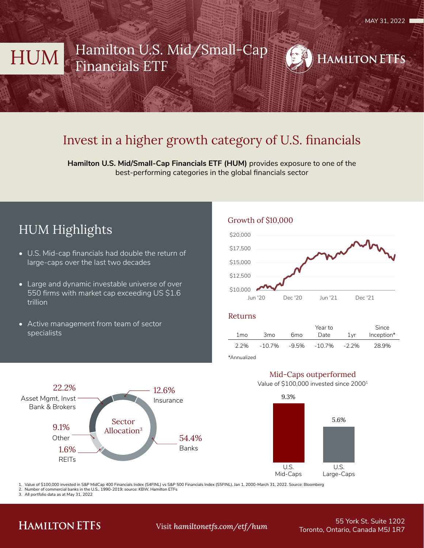# HUM Hamilton U.S. Mid/Small-Cap Financials ETF



# Invest in a higher growth category of U.S. financials

**Hamilton U.S. Mid/Small-Cap Financials ETF (HUM)** provides exposure to one of the best-performing categories in the global financials sector

# HUM Highlights

- U.S. Mid-cap financials had double the return of large-caps over the last two decades
- Large and dynamic investable universe of over 550 firms with market cap exceeding US \$1.6 trillion
- Active management from team of sector specialists





### Returns

|                 |                 |     | Year to      |         | Since      |  |
|-----------------|-----------------|-----|--------------|---------|------------|--|
| 1 <sub>mo</sub> | 3 <sub>mo</sub> | 6mo | Date         | $1$ vr  | Inception* |  |
| 2.2%            | -10.7%          |     | -9.5% -10.7% | $-2.2%$ | 28.9%      |  |
| *∆nnualized     |                 |     |              |         |            |  |



## Mid-Caps outperformed

Value of \$100,000 invested since 20001



1. Value of \$100,000 invested in S&P MidCap 400 Financials Index (S4FINL) vs S&P 500 Financials Index (S5FINL), Jan 1, 2000-March 31, 2022. Source: Bloomberg

2. Number of commercial banks in the U.S., 1990-2019; source: KBW, Hamilton ETFs

3. All portfolio data as at May 31, 2022

## **HAMILTON ETFS**

55 York St. Suite 1202 Toronto, Ontario, Canada M5J 1R7 Visit *hamiltonetfs.com/etf/hum*